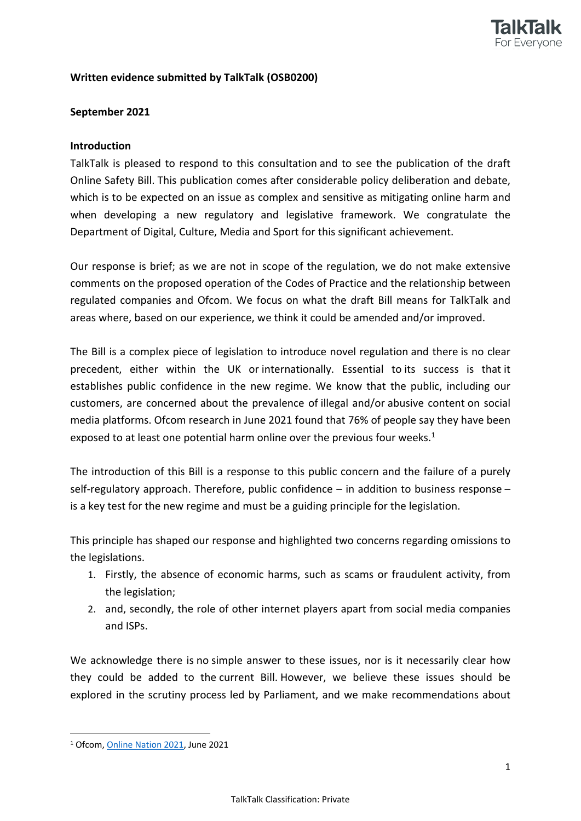

## **Written evidence submitted by TalkTalk (OSB0200)**

## **September 2021**

#### **Introduction**

TalkTalk is pleased to respond to this consultation and to see the publication of the draft Online Safety Bill. This publication comes after considerable policy deliberation and debate, which is to be expected on an issue as complex and sensitive as mitigating online harm and when developing a new regulatory and legislative framework. We congratulate the Department of Digital, Culture, Media and Sport for this significant achievement.

Our response is brief; as we are not in scope of the regulation, we do not make extensive comments on the proposed operation of the Codes of Practice and the relationship between regulated companies and Ofcom. We focus on what the draft Bill means for TalkTalk and areas where, based on our experience, we think it could be amended and/or improved.

The Bill is a complex piece of legislation to introduce novel regulation and there is no clear precedent, either within the UK or internationally. Essential to its success is that it establishes public confidence in the new regime. We know that the public, including our customers, are concerned about the prevalence of illegal and/or abusive content on social media platforms. Ofcom research in June 2021 found that 76% of people say they have been exposed to at least one potential harm online over the previous four weeks.<sup>1</sup>

The introduction of this Bill is a response to this public concern and the failure of a purely self-regulatory approach. Therefore, public confidence – in addition to business response – is a key test for the new regime and must be a guiding principle for the legislation.

This principle has shaped our response and highlighted two concerns regarding omissions to the legislations.

- 1. Firstly, the absence of economic harms, such as scams or fraudulent activity, from the legislation;
- 2. and, secondly, the role of other internet players apart from social media companies and ISPs.

We acknowledge there is no simple answer to these issues, nor is it necessarily clear how they could be added to the current Bill. However, we believe these issues should be explored in the scrutiny process led by Parliament, and we make recommendations about

<sup>1</sup> Ofcom, [Online](https://www.ofcom.org.uk/__data/assets/pdf_file/0013/220414/online-nation-2021-report.pdf) [Nation](https://www.ofcom.org.uk/__data/assets/pdf_file/0013/220414/online-nation-2021-report.pdf) [2021](https://www.ofcom.org.uk/__data/assets/pdf_file/0013/220414/online-nation-2021-report.pdf), June 2021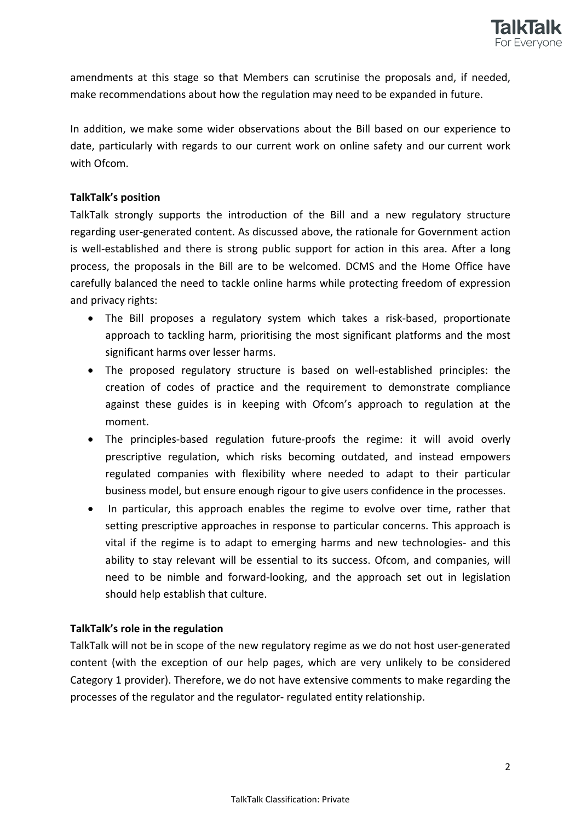

amendments at this stage so that Members can scrutinise the proposals and, if needed, make recommendations about how the regulation may need to be expanded in future.

In addition, we make some wider observations about the Bill based on our experience to date, particularly with regards to our current work on online safety and our current work with Ofcom.

# **TalkTalk's position**

TalkTalk strongly supports the introduction of the Bill and a new regulatory structure regarding user-generated content. As discussed above, the rationale for Government action is well-established and there is strong public support for action in this area. After a long process, the proposals in the Bill are to be welcomed. DCMS and the Home Office have carefully balanced the need to tackle online harms while protecting freedom of expression and privacy rights:

- The Bill proposes a regulatory system which takes a risk-based, proportionate approach to tackling harm, prioritising the most significant platforms and the most significant harms over lesser harms.
- The proposed regulatory structure is based on well-established principles: the creation of codes of practice and the requirement to demonstrate compliance against these guides is in keeping with Ofcom's approach to regulation at the moment.
- The principles-based regulation future-proofs the regime: it will avoid overly prescriptive regulation, which risks becoming outdated, and instead empowers regulated companies with flexibility where needed to adapt to their particular business model, but ensure enough rigour to give users confidence in the processes.
- In particular, this approach enables the regime to evolve over time, rather that setting prescriptive approaches in response to particular concerns. This approach is vital if the regime is to adapt to emerging harms and new technologies- and this ability to stay relevant will be essential to its success. Ofcom, and companies, will need to be nimble and forward-looking, and the approach set out in legislation should help establish that culture.

## **TalkTalk's role in the regulation**

TalkTalk will not be in scope of the new regulatory regime as we do not host user-generated content (with the exception of our help pages, which are very unlikely to be considered Category 1 provider). Therefore, we do not have extensive comments to make regarding the processes of the regulator and the regulator- regulated entity relationship.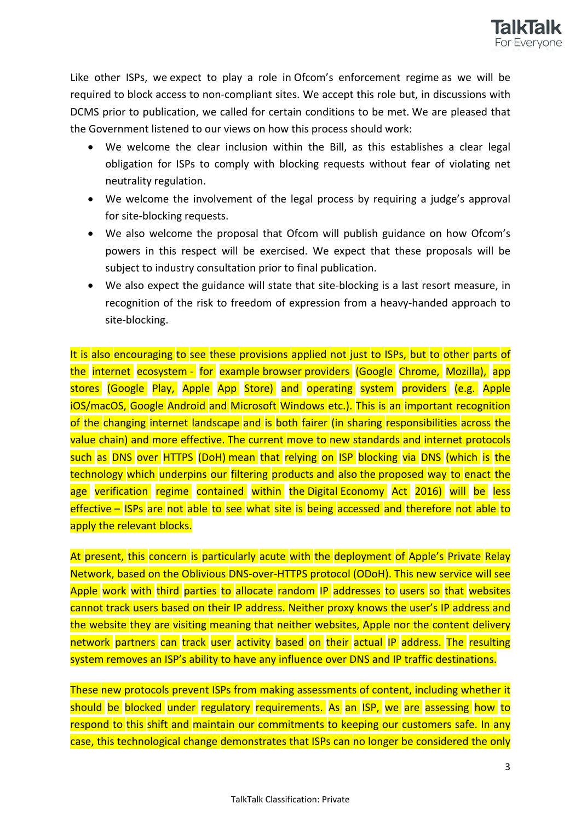

Like other ISPs, we expect to play a role in Ofcom's enforcement regime as we will be required to block access to non-compliant sites. We accept this role but, in discussions with DCMS prior to publication, we called for certain conditions to be met. We are pleased that the Government listened to our views on how this process should work:

- We welcome the clear inclusion within the Bill, as this establishes a clear legal obligation for ISPs to comply with blocking requests without fear of violating net neutrality regulation.
- We welcome the involvement of the legal process by requiring a judge's approval for site-blocking requests.
- We also welcome the proposal that Ofcom will publish guidance on how Ofcom's powers in this respect will be exercised. We expect that these proposals will be subject to industry consultation prior to final publication.
- We also expect the guidance will state that site-blocking is a last resort measure, in recognition of the risk to freedom of expression from a heavy-handed approach to site-blocking.

It is also encouraging to see these provisions applied not just to ISPs, but to other parts of the internet ecosystem - for example browser providers (Google Chrome, Mozilla), app stores (Google Play, Apple App Store) and operating system providers (e.g. Apple iOS/macOS, Google Android and Microsoft Windows etc.). This is an important recognition of the changing internet landscape and is both fairer (in sharing responsibilities across the value chain) and more effective. The current move to new standards and internet protocols such as DNS over HTTPS (DoH) mean that relying on ISP blocking via DNS (which is the technology which underpins our filtering products and also the proposed way to enact the age verification regime contained within the Digital Economy Act 2016) will be less effective – ISPs are not able to see what site is being accessed and therefore not able to apply the relevant blocks.

At present, this concern is particularly acute with the deployment of Apple's Private Relay Network, based on the Oblivious DNS-over-HTTPS protocol (ODoH). This new service will see Apple work with third parties to allocate random IP addresses to users so that websites cannot track users based on their IP address. Neither proxy knows the user's IP address and the website they are visiting meaning that neither websites, Apple nor the content delivery network partners can track user activity based on their actual IP address. The resulting system removes an ISP's ability to have any influence over DNS and IP traffic destinations.

These new protocols prevent ISPs from making assessments of content, including whether it should be blocked under regulatory requirements. As an ISP, we are assessing how to respond to this shift and maintain our commitments to keeping our customers safe. In any case, this technological change demonstrates that ISPs can no longer be considered the only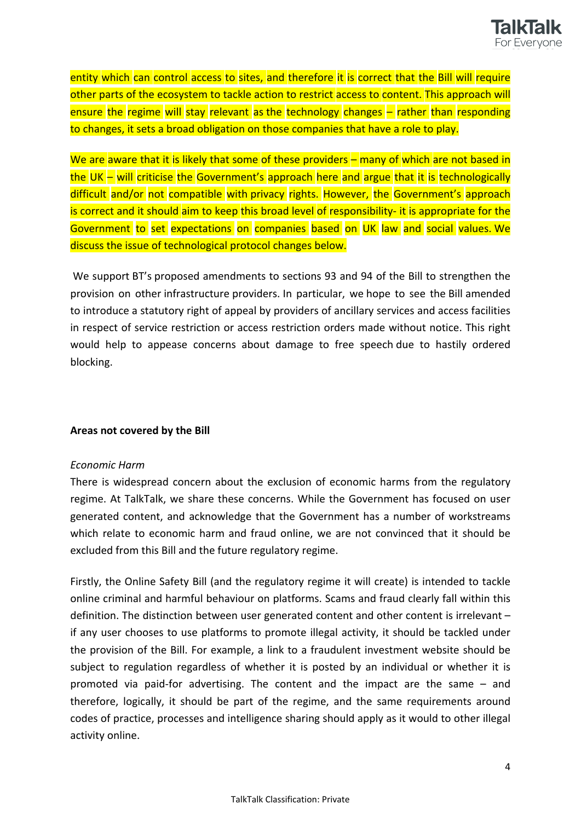

entity which can control access to sites, and therefore it is correct that the Bill will require other parts of the ecosystem to tackle action to restrict access to content. This approach will ensure the regime will stay relevant as the technology changes – rather than responding to changes, it sets a broad obligation on those companies that have a role to play.

We are aware that it is likely that some of these providers – many of which are not based in the UK – will criticise the Government's approach here and argue that it is technologically difficult and/or not compatible with privacy rights. However, the Government's approach is correct and it should aim to keep this broad level of responsibility- it is appropriate for the Government to set expectations on companies based on UK law and social values. We discuss the issue of technological protocol changes below.

We support BT's proposed amendments to sections 93 and 94 of the Bill to strengthen the provision on other infrastructure providers. In particular, we hope to see the Bill amended to introduce a statutory right of appeal by providers of ancillary services and access facilities in respect of service restriction or access restriction orders made without notice. This right would help to appease concerns about damage to free speech due to hastily ordered blocking.

## **Areas not covered by the Bill**

#### *Economic Harm*

There is widespread concern about the exclusion of economic harms from the regulatory regime. At TalkTalk, we share these concerns. While the Government has focused on user generated content, and acknowledge that the Government has a number of workstreams which relate to economic harm and fraud online, we are not convinced that it should be excluded from this Bill and the future regulatory regime.

Firstly, the Online Safety Bill (and the regulatory regime it will create) is intended to tackle online criminal and harmful behaviour on platforms. Scams and fraud clearly fall within this definition. The distinction between user generated content and other content is irrelevant – if any user chooses to use platforms to promote illegal activity, it should be tackled under the provision of the Bill. For example, a link to a fraudulent investment website should be subject to regulation regardless of whether it is posted by an individual or whether it is promoted via paid-for advertising. The content and the impact are the same – and therefore, logically, it should be part of the regime, and the same requirements around codes of practice, processes and intelligence sharing should apply as it would to other illegal activity online.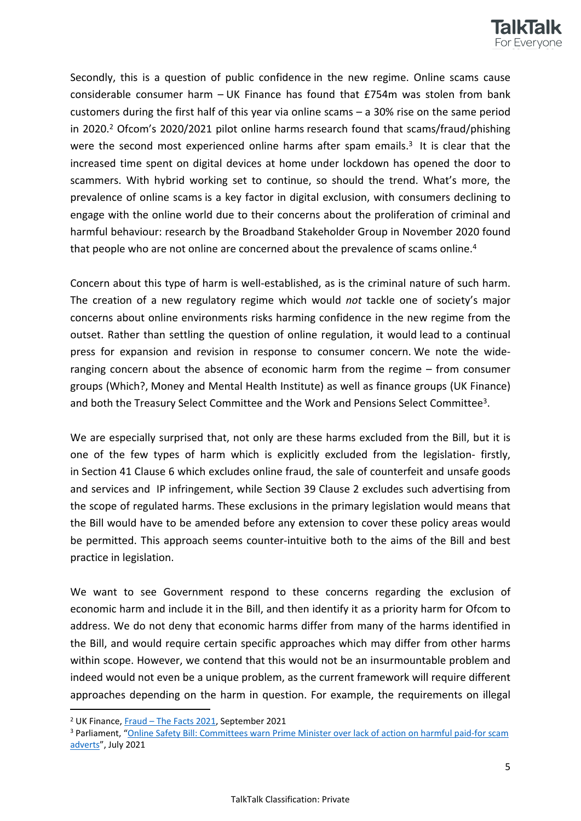

Secondly, this is a question of public confidence in the new regime. Online scams cause considerable consumer harm – UK Finance has found that £754m was stolen from bank customers during the first half of this year via online scams – a 30% rise on the same period in 2020.<sup>2</sup> Ofcom's 2020/2021 pilot online harms research found that scams/fraud/phishing were the second most experienced online harms after spam emails.<sup>3</sup> It is clear that the increased time spent on digital devices at home under lockdown has opened the door to scammers. With hybrid working set to continue, so should the trend. What's more, the prevalence of online scams is a key factor in digital exclusion, with consumers declining to engage with the online world due to their concerns about the proliferation of criminal and harmful behaviour: research by the Broadband Stakeholder Group in November 2020 found that people who are not online are concerned about the prevalence of scams online.<sup>4</sup>

Concern about this type of harm is well-established, as is the criminal nature of such harm. The creation of a new regulatory regime which would *not* tackle one of society's major concerns about online environments risks harming confidence in the new regime from the outset. Rather than settling the question of online regulation, it would lead to a continual press for expansion and revision in response to consumer concern. We note the wideranging concern about the absence of economic harm from the regime – from consumer groups (Which?, Money and Mental Health Institute) as well as finance groups (UK Finance) and both the Treasury Select Committee and the Work and Pensions Select Committee<sup>3</sup>.

We are especially surprised that, not only are these harms excluded from the Bill, but it is one of the few types of harm which is explicitly excluded from the legislation- firstly, in Section 41 Clause 6 which excludes online fraud, the sale of counterfeit and unsafe goods and services and IP infringement, while Section 39 Clause 2 excludes such advertising from the scope of regulated harms. These exclusions in the primary legislation would means that the Bill would have to be amended before any extension to cover these policy areas would be permitted. This approach seems counter-intuitive both to the aims of the Bill and best practice in legislation.

We want to see Government respond to these concerns regarding the exclusion of economic harm and include it in the Bill, and then identify it as a priority harm for Ofcom to address. We do not deny that economic harms differ from many of the harms identified in the Bill, and would require certain specific approaches which may differ from other harms within scope. However, we contend that this would not be an insurmountable problem and indeed would not even be a unique problem, as the current framework will require different approaches depending on the harm in question. For example, the requirements on illegal

<sup>2</sup> UK Finance, [Fraud](https://www.ukfinance.org.uk/system/files/Fraud%20The%20Facts%202021-%20FINAL.pdf) [–](https://www.ukfinance.org.uk/system/files/Fraud%20The%20Facts%202021-%20FINAL.pdf) [The](https://www.ukfinance.org.uk/system/files/Fraud%20The%20Facts%202021-%20FINAL.pdf) [Facts](https://www.ukfinance.org.uk/system/files/Fraud%20The%20Facts%202021-%20FINAL.pdf) [2021](https://www.ukfinance.org.uk/system/files/Fraud%20The%20Facts%202021-%20FINAL.pdf), September 2021

<sup>3</sup> Parliament, "[Online](https://committees.parliament.uk/committee/158/treasury-committee/news/156885/online-safety-bill-committees-warn-prime-minister-over-lack-of-action-on-harmful-paidfor-scam-adverts/) [Safety](https://committees.parliament.uk/committee/158/treasury-committee/news/156885/online-safety-bill-committees-warn-prime-minister-over-lack-of-action-on-harmful-paidfor-scam-adverts/) [Bill:](https://committees.parliament.uk/committee/158/treasury-committee/news/156885/online-safety-bill-committees-warn-prime-minister-over-lack-of-action-on-harmful-paidfor-scam-adverts/) [Committees](https://committees.parliament.uk/committee/158/treasury-committee/news/156885/online-safety-bill-committees-warn-prime-minister-over-lack-of-action-on-harmful-paidfor-scam-adverts/) [warn](https://committees.parliament.uk/committee/158/treasury-committee/news/156885/online-safety-bill-committees-warn-prime-minister-over-lack-of-action-on-harmful-paidfor-scam-adverts/) [Prime](https://committees.parliament.uk/committee/158/treasury-committee/news/156885/online-safety-bill-committees-warn-prime-minister-over-lack-of-action-on-harmful-paidfor-scam-adverts/) [Minister](https://committees.parliament.uk/committee/158/treasury-committee/news/156885/online-safety-bill-committees-warn-prime-minister-over-lack-of-action-on-harmful-paidfor-scam-adverts/) [over](https://committees.parliament.uk/committee/158/treasury-committee/news/156885/online-safety-bill-committees-warn-prime-minister-over-lack-of-action-on-harmful-paidfor-scam-adverts/) [lack](https://committees.parliament.uk/committee/158/treasury-committee/news/156885/online-safety-bill-committees-warn-prime-minister-over-lack-of-action-on-harmful-paidfor-scam-adverts/) [of](https://committees.parliament.uk/committee/158/treasury-committee/news/156885/online-safety-bill-committees-warn-prime-minister-over-lack-of-action-on-harmful-paidfor-scam-adverts/) [action](https://committees.parliament.uk/committee/158/treasury-committee/news/156885/online-safety-bill-committees-warn-prime-minister-over-lack-of-action-on-harmful-paidfor-scam-adverts/) [on](https://committees.parliament.uk/committee/158/treasury-committee/news/156885/online-safety-bill-committees-warn-prime-minister-over-lack-of-action-on-harmful-paidfor-scam-adverts/) [harmful](https://committees.parliament.uk/committee/158/treasury-committee/news/156885/online-safety-bill-committees-warn-prime-minister-over-lack-of-action-on-harmful-paidfor-scam-adverts/) [paid-for](https://committees.parliament.uk/committee/158/treasury-committee/news/156885/online-safety-bill-committees-warn-prime-minister-over-lack-of-action-on-harmful-paidfor-scam-adverts/) [scam](https://committees.parliament.uk/committee/158/treasury-committee/news/156885/online-safety-bill-committees-warn-prime-minister-over-lack-of-action-on-harmful-paidfor-scam-adverts/) [adverts](https://committees.parliament.uk/committee/158/treasury-committee/news/156885/online-safety-bill-committees-warn-prime-minister-over-lack-of-action-on-harmful-paidfor-scam-adverts/)", July 2021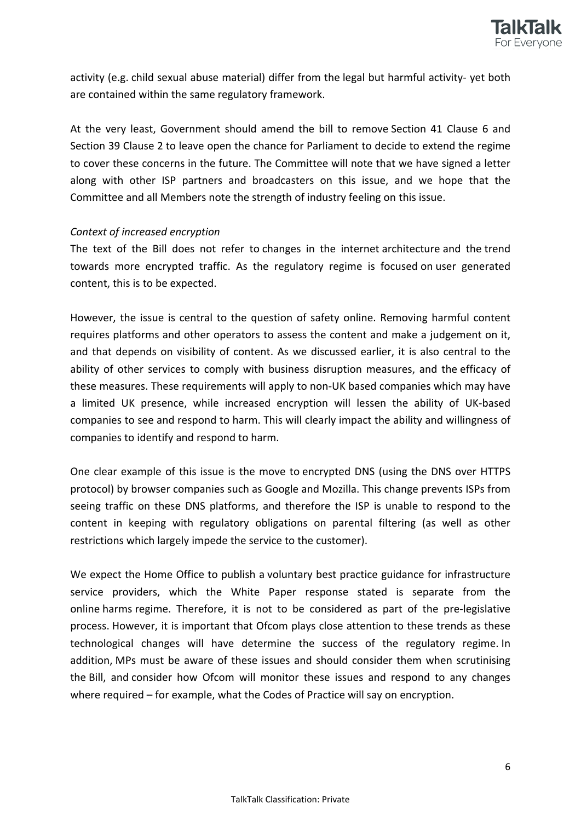

activity (e.g. child sexual abuse material) differ from the legal but harmful activity- yet both are contained within the same regulatory framework.

At the very least, Government should amend the bill to remove Section 41 Clause 6 and Section 39 Clause 2 to leave open the chance for Parliament to decide to extend the regime to cover these concerns in the future. The Committee will note that we have signed a letter along with other ISP partners and broadcasters on this issue, and we hope that the Committee and all Members note the strength of industry feeling on this issue.

## *Context of increased encryption*

The text of the Bill does not refer to changes in the internet architecture and the trend towards more encrypted traffic. As the regulatory regime is focused on user generated content, this is to be expected.

However, the issue is central to the question of safety online. Removing harmful content requires platforms and other operators to assess the content and make a judgement on it, and that depends on visibility of content. As we discussed earlier, it is also central to the ability of other services to comply with business disruption measures, and the efficacy of these measures. These requirements will apply to non-UK based companies which may have a limited UK presence, while increased encryption will lessen the ability of UK-based companies to see and respond to harm. This will clearly impact the ability and willingness of companies to identify and respond to harm.

One clear example of this issue is the move to encrypted DNS (using the DNS over HTTPS protocol) by browser companies such as Google and Mozilla. This change prevents ISPs from seeing traffic on these DNS platforms, and therefore the ISP is unable to respond to the content in keeping with regulatory obligations on parental filtering (as well as other restrictions which largely impede the service to the customer).

We expect the Home Office to publish a voluntary best practice guidance for infrastructure service providers, which the White Paper response stated is separate from the online harms regime. Therefore, it is not to be considered as part of the pre-legislative process. However, it is important that Ofcom plays close attention to these trends as these technological changes will have determine the success of the regulatory regime. In addition, MPs must be aware of these issues and should consider them when scrutinising the Bill, and consider how Ofcom will monitor these issues and respond to any changes where required – for example, what the Codes of Practice will say on encryption.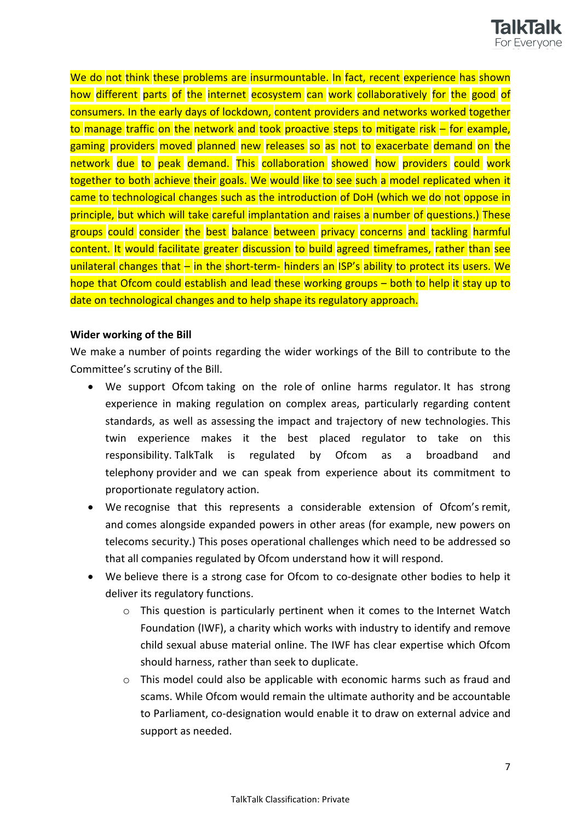

We do not think these problems are insurmountable. In fact, recent experience has shown how different parts of the internet ecosystem can work collaboratively for the good of consumers. In the early days of lockdown, content providers and networks worked together to manage traffic on the network and took proactive steps to mitigate risk – for example, gaming providers moved planned new releases so as not to exacerbate demand on the network due to peak demand. This collaboration showed how providers could work together to both achieve their goals. We would like to see such a model replicated when it came to technological changes such as the introduction of DoH (which we do not oppose in principle, but which will take careful implantation and raises a number of questions.) These groups could consider the best balance between privacy concerns and tackling harmful content. It would facilitate greater discussion to build agreed timeframes, rather than see unilateral changes that – in the short-term- hinders an ISP's ability to protect its users. We hope that Ofcom could establish and lead these working groups – both to help it stay up to date on technological changes and to help shape its regulatory approach.

#### **Wider working of the Bill**

We make a number of points regarding the wider workings of the Bill to contribute to the Committee's scrutiny of the Bill.

- We support Ofcom taking on the role of online harms regulator. It has strong experience in making regulation on complex areas, particularly regarding content standards, as well as assessing the impact and trajectory of new technologies. This twin experience makes it the best placed regulator to take on this responsibility. TalkTalk is regulated by Ofcom as a broadband and telephony provider and we can speak from experience about its commitment to proportionate regulatory action.
- We recognise that this represents a considerable extension of Ofcom's remit, and comes alongside expanded powers in other areas (for example, new powers on telecoms security.) This poses operational challenges which need to be addressed so that all companies regulated by Ofcom understand how it will respond.
- We believe there is a strong case for Ofcom to co-designate other bodies to help it deliver its regulatory functions.
	- $\circ$  This question is particularly pertinent when it comes to the Internet Watch Foundation (IWF), a charity which works with industry to identify and remove child sexual abuse material online. The IWF has clear expertise which Ofcom should harness, rather than seek to duplicate.
	- o This model could also be applicable with economic harms such as fraud and scams. While Ofcom would remain the ultimate authority and be accountable to Parliament, co-designation would enable it to draw on external advice and support as needed.